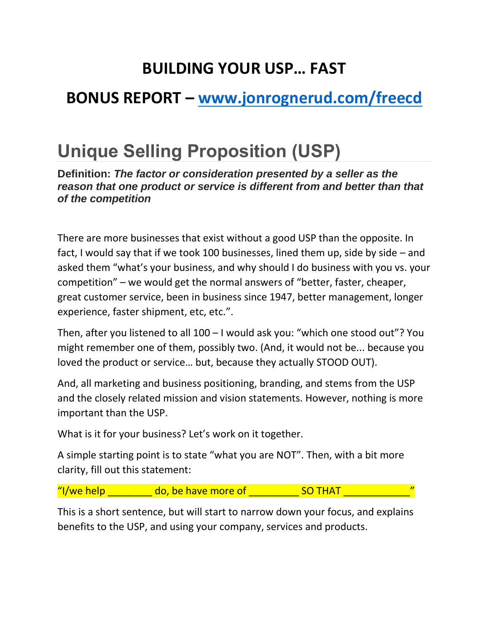## **BUILDING YOUR USP… FAST**

## **BONUS REPORT – [www.jonrognerud.com/freecd](http://www.jonrognerud.com/freecd)**

## **Unique Selling Proposition (USP)**

**Definition:** *The factor or consideration presented by a seller as the reason that one product or service is different from and better than that of the competition*

There are more businesses that exist without a good USP than the opposite. In fact, I would say that if we took 100 businesses, lined them up, side by side – and asked them "what's your business, and why should I do business with you vs. your competition" – we would get the normal answers of "better, faster, cheaper, great customer service, been in business since 1947, better management, longer experience, faster shipment, etc, etc.".

Then, after you listened to all 100 – I would ask you: "which one stood out"? You might remember one of them, possibly two. (And, it would not be... because you loved the product or service… but, because they actually STOOD OUT).

And, all marketing and business positioning, branding, and stems from the USP and the closely related mission and vision statements. However, nothing is more important than the USP.

What is it for your business? Let's work on it together.

A simple starting point is to state "what you are NOT". Then, with a bit more clarity, fill out this statement:

"I/we help  $\Box$  do, be have more of  $\Box$  SO THAT  $\Box$ 

This is a short sentence, but will start to narrow down your focus, and explains benefits to the USP, and using your company, services and products.